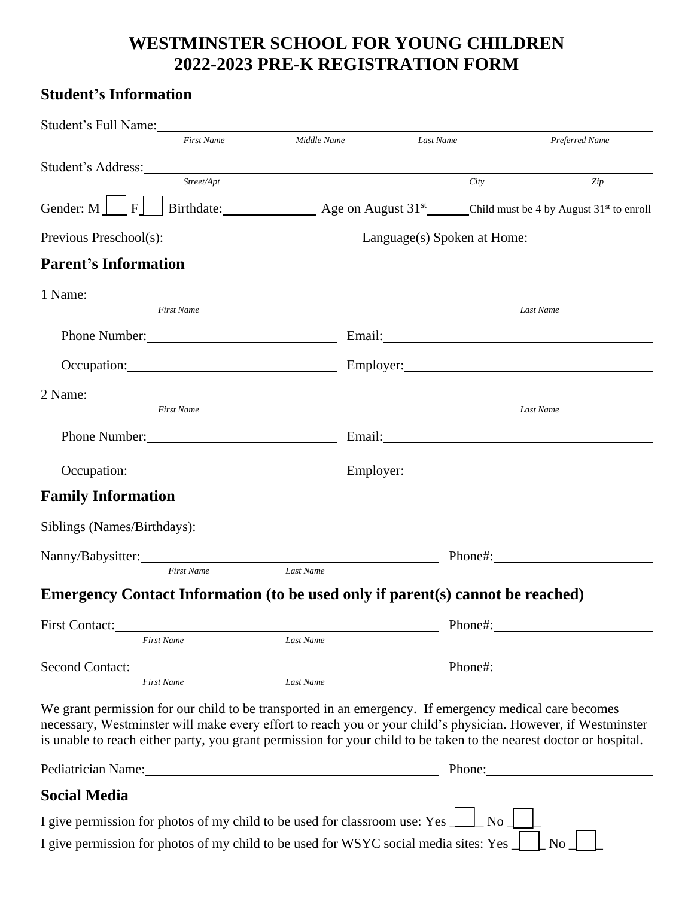## **WESTMINSTER SCHOOL FOR YOUNG CHILDREN 2022-2023 PRE-K REGISTRATION FORM**

## **Student's Information**

| Student's Full Name:                                                                                                                                                                                                                                                                                                                           |                   |             |           |         |                                                                                                                  |
|------------------------------------------------------------------------------------------------------------------------------------------------------------------------------------------------------------------------------------------------------------------------------------------------------------------------------------------------|-------------------|-------------|-----------|---------|------------------------------------------------------------------------------------------------------------------|
|                                                                                                                                                                                                                                                                                                                                                | <b>First Name</b> | Middle Name | Last Name |         | Preferred Name                                                                                                   |
| Student's Address: New York Changes and Student's Address:                                                                                                                                                                                                                                                                                     |                   |             |           |         |                                                                                                                  |
|                                                                                                                                                                                                                                                                                                                                                | Street/Apt        |             |           | City    | Zip                                                                                                              |
|                                                                                                                                                                                                                                                                                                                                                |                   |             |           |         | Gender: M     F   Birthdate: Age on August 31 <sup>st</sup> Child must be 4 by August 31 <sup>st</sup> to enroll |
|                                                                                                                                                                                                                                                                                                                                                |                   |             |           |         |                                                                                                                  |
| <b>Parent's Information</b>                                                                                                                                                                                                                                                                                                                    |                   |             |           |         |                                                                                                                  |
| 1 Name:                                                                                                                                                                                                                                                                                                                                        |                   |             |           |         |                                                                                                                  |
|                                                                                                                                                                                                                                                                                                                                                | <b>First Name</b> |             |           |         | Last Name                                                                                                        |
|                                                                                                                                                                                                                                                                                                                                                |                   |             |           |         |                                                                                                                  |
|                                                                                                                                                                                                                                                                                                                                                |                   |             |           |         | Occupation: Employer: Employer: Employer:                                                                        |
|                                                                                                                                                                                                                                                                                                                                                |                   |             |           |         |                                                                                                                  |
|                                                                                                                                                                                                                                                                                                                                                | <b>First Name</b> |             |           |         | Last Name                                                                                                        |
|                                                                                                                                                                                                                                                                                                                                                |                   |             |           |         | Phone Number: Email: Email:                                                                                      |
|                                                                                                                                                                                                                                                                                                                                                |                   |             |           |         | Occupation: Employer: Employer:                                                                                  |
| <b>Family Information</b>                                                                                                                                                                                                                                                                                                                      |                   |             |           |         |                                                                                                                  |
|                                                                                                                                                                                                                                                                                                                                                |                   |             |           |         |                                                                                                                  |
|                                                                                                                                                                                                                                                                                                                                                |                   |             |           |         | Nanny/Babysitter: Phone#: Phone#:                                                                                |
|                                                                                                                                                                                                                                                                                                                                                | First Name        | Last Name   |           |         |                                                                                                                  |
| Emergency Contact Information (to be used only if parent(s) cannot be reached)                                                                                                                                                                                                                                                                 |                   |             |           |         |                                                                                                                  |
| First Contact:                                                                                                                                                                                                                                                                                                                                 |                   |             |           | Phone#: |                                                                                                                  |
|                                                                                                                                                                                                                                                                                                                                                | <b>First Name</b> | Last Name   |           |         |                                                                                                                  |
| Second Contact:                                                                                                                                                                                                                                                                                                                                |                   |             |           | Phone#: |                                                                                                                  |
|                                                                                                                                                                                                                                                                                                                                                | <b>First Name</b> | Last Name   |           |         |                                                                                                                  |
| We grant permission for our child to be transported in an emergency. If emergency medical care becomes<br>necessary, Westminster will make every effort to reach you or your child's physician. However, if Westminster<br>is unable to reach either party, you grant permission for your child to be taken to the nearest doctor or hospital. |                   |             |           |         |                                                                                                                  |
| Pediatrician Name: 1988 and 2008 and 2008 and 2008 and 2008 and 2008 and 2008 and 2008 and 2008 and 2008 and 2008 and 2008 and 2008 and 2008 and 2008 and 2008 and 2008 and 2008 and 2008 and 2008 and 2008 and 2008 and 2008                                                                                                                  |                   |             |           |         | Phone:                                                                                                           |
| <b>Social Media</b>                                                                                                                                                                                                                                                                                                                            |                   |             |           |         |                                                                                                                  |
| I give permission for photos of my child to be used for classroom use: Yes $\perp$                                                                                                                                                                                                                                                             |                   |             |           | No      |                                                                                                                  |

I give permission for photos of my child to be used for WSYC social media sites: Yes  $\Box$  No  $\Box$